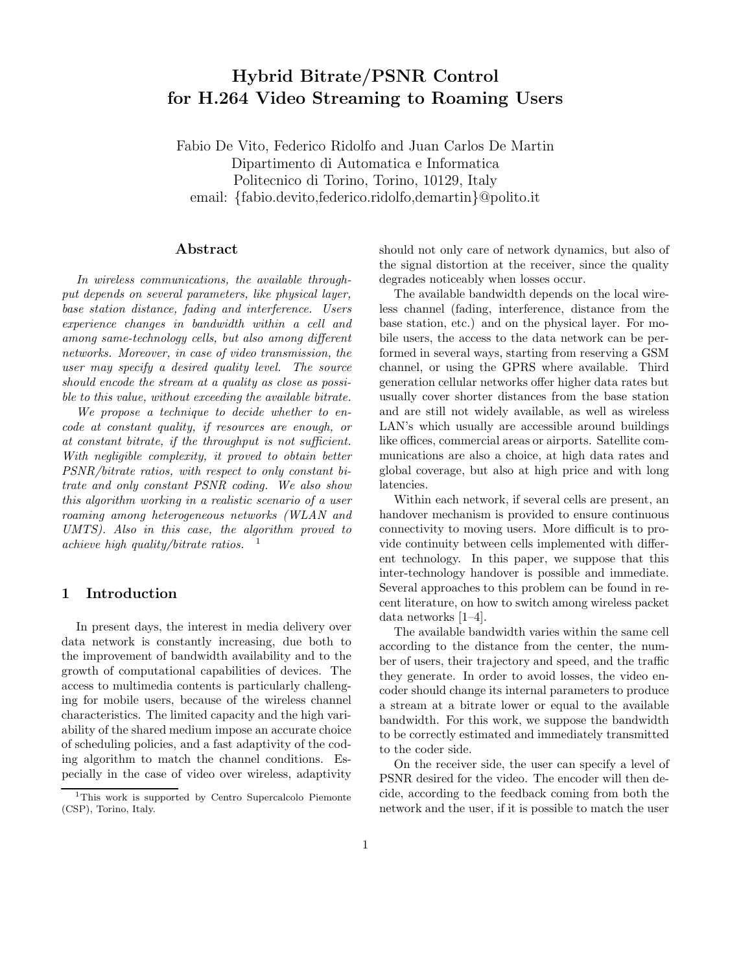# Hybrid Bitrate/PSNR Control for H.264 Video Streaming to Roaming Users

Fabio De Vito, Federico Ridolfo and Juan Carlos De Martin Dipartimento di Automatica e Informatica Politecnico di Torino, Torino, 10129, Italy email: {fabio.devito,federico.ridolfo,demartin}@polito.it

# Abstract

In wireless communications, the available throughput depends on several parameters, like physical layer, base station distance, fading and interference. Users experience changes in bandwidth within a cell and among same-technology cells, but also among different networks. Moreover, in case of video transmission, the user may specify a desired quality level. The source should encode the stream at a quality as close as possible to this value, without exceeding the available bitrate.

We propose a technique to decide whether to encode at constant quality, if resources are enough, or at constant bitrate, if the throughput is not sufficient. With negligible complexity, it proved to obtain better PSNR/bitrate ratios, with respect to only constant bitrate and only constant PSNR coding. We also show this algorithm working in a realistic scenario of a user roaming among heterogeneous networks (WLAN and UMTS). Also in this case, the algorithm proved to achieve high quality/bitrate ratios. <sup>1</sup>

#### 1 Introduction

In present days, the interest in media delivery over data network is constantly increasing, due both to the improvement of bandwidth availability and to the growth of computational capabilities of devices. The access to multimedia contents is particularly challenging for mobile users, because of the wireless channel characteristics. The limited capacity and the high variability of the shared medium impose an accurate choice of scheduling policies, and a fast adaptivity of the coding algorithm to match the channel conditions. Especially in the case of video over wireless, adaptivity

should not only care of network dynamics, but also of the signal distortion at the receiver, since the quality degrades noticeably when losses occur.

The available bandwidth depends on the local wireless channel (fading, interference, distance from the base station, etc.) and on the physical layer. For mobile users, the access to the data network can be performed in several ways, starting from reserving a GSM channel, or using the GPRS where available. Third generation cellular networks offer higher data rates but usually cover shorter distances from the base station and are still not widely available, as well as wireless LAN's which usually are accessible around buildings like offices, commercial areas or airports. Satellite communications are also a choice, at high data rates and global coverage, but also at high price and with long latencies.

Within each network, if several cells are present, an handover mechanism is provided to ensure continuous connectivity to moving users. More difficult is to provide continuity between cells implemented with different technology. In this paper, we suppose that this inter-technology handover is possible and immediate. Several approaches to this problem can be found in recent literature, on how to switch among wireless packet data networks [1–4].

The available bandwidth varies within the same cell according to the distance from the center, the number of users, their trajectory and speed, and the traffic they generate. In order to avoid losses, the video encoder should change its internal parameters to produce a stream at a bitrate lower or equal to the available bandwidth. For this work, we suppose the bandwidth to be correctly estimated and immediately transmitted to the coder side.

On the receiver side, the user can specify a level of PSNR desired for the video. The encoder will then decide, according to the feedback coming from both the network and the user, if it is possible to match the user

<sup>&</sup>lt;sup>1</sup>This work is supported by Centro Supercalcolo Piemonte (CSP), Torino, Italy.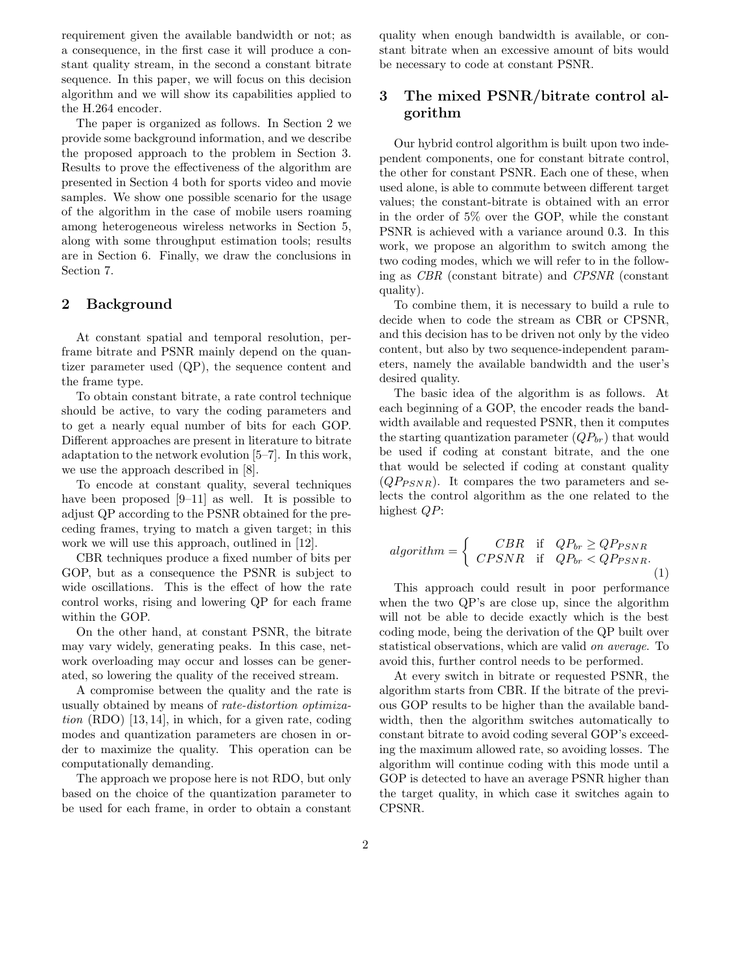requirement given the available bandwidth or not; as a consequence, in the first case it will produce a constant quality stream, in the second a constant bitrate sequence. In this paper, we will focus on this decision algorithm and we will show its capabilities applied to the H.264 encoder.

The paper is organized as follows. In Section 2 we provide some background information, and we describe the proposed approach to the problem in Section 3. Results to prove the effectiveness of the algorithm are presented in Section 4 both for sports video and movie samples. We show one possible scenario for the usage of the algorithm in the case of mobile users roaming among heterogeneous wireless networks in Section 5, along with some throughput estimation tools; results are in Section 6. Finally, we draw the conclusions in Section 7.

# 2 Background

At constant spatial and temporal resolution, perframe bitrate and PSNR mainly depend on the quantizer parameter used (QP), the sequence content and the frame type.

To obtain constant bitrate, a rate control technique should be active, to vary the coding parameters and to get a nearly equal number of bits for each GOP. Different approaches are present in literature to bitrate adaptation to the network evolution [5–7]. In this work, we use the approach described in [8].

To encode at constant quality, several techniques have been proposed [9–11] as well. It is possible to adjust QP according to the PSNR obtained for the preceding frames, trying to match a given target; in this work we will use this approach, outlined in [12].

CBR techniques produce a fixed number of bits per GOP, but as a consequence the PSNR is subject to wide oscillations. This is the effect of how the rate control works, rising and lowering QP for each frame within the GOP.

On the other hand, at constant PSNR, the bitrate may vary widely, generating peaks. In this case, network overloading may occur and losses can be generated, so lowering the quality of the received stream.

A compromise between the quality and the rate is usually obtained by means of rate-distortion optimization  $(RDO)$  [13, 14], in which, for a given rate, coding modes and quantization parameters are chosen in order to maximize the quality. This operation can be computationally demanding.

The approach we propose here is not RDO, but only based on the choice of the quantization parameter to be used for each frame, in order to obtain a constant quality when enough bandwidth is available, or constant bitrate when an excessive amount of bits would be necessary to code at constant PSNR.

# 3 The mixed PSNR/bitrate control algorithm

Our hybrid control algorithm is built upon two independent components, one for constant bitrate control, the other for constant PSNR. Each one of these, when used alone, is able to commute between different target values; the constant-bitrate is obtained with an error in the order of 5% over the GOP, while the constant PSNR is achieved with a variance around 0.3. In this work, we propose an algorithm to switch among the two coding modes, which we will refer to in the following as CBR (constant bitrate) and CPSNR (constant quality).

To combine them, it is necessary to build a rule to decide when to code the stream as CBR or CPSNR, and this decision has to be driven not only by the video content, but also by two sequence-independent parameters, namely the available bandwidth and the user's desired quality.

The basic idea of the algorithm is as follows. At each beginning of a GOP, the encoder reads the bandwidth available and requested PSNR, then it computes the starting quantization parameter  $(QP_{br})$  that would be used if coding at constant bitrate, and the one that would be selected if coding at constant quality  $(QP_{PSNR})$ . It compares the two parameters and selects the control algorithm as the one related to the highest QP:

$$
algorithm = \left\{ \begin{array}{ll} CBR & \text{if} \quad QP_{br} \ge QP_{PSNR} \\ CPSNR & \text{if} \quad QP_{br} < QP_{PSNR}. \end{array} \right. \tag{1}
$$

This approach could result in poor performance when the two QP's are close up, since the algorithm will not be able to decide exactly which is the best coding mode, being the derivation of the QP built over statistical observations, which are valid on average. To avoid this, further control needs to be performed.

At every switch in bitrate or requested PSNR, the algorithm starts from CBR. If the bitrate of the previous GOP results to be higher than the available bandwidth, then the algorithm switches automatically to constant bitrate to avoid coding several GOP's exceeding the maximum allowed rate, so avoiding losses. The algorithm will continue coding with this mode until a GOP is detected to have an average PSNR higher than the target quality, in which case it switches again to CPSNR.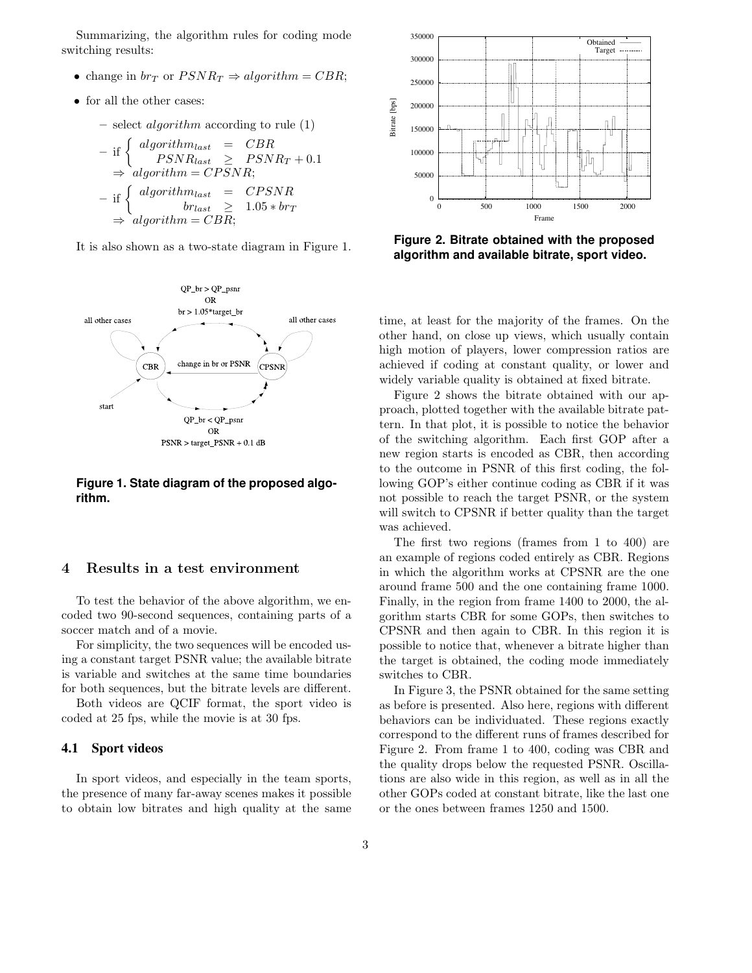Summarizing, the algorithm rules for coding mode switching results:

- change in  $br_T$  or  $PSNR_T \Rightarrow algorithm = CBR;$
- for all the other cases:
	- select *algorithm* according to rule  $(1)$

$$
- \text{ if } \begin{cases} \text{ algorithm}_{\text{last}} = \text{ CBR} \\ \text{ PSNR}_{\text{last}} \geq \text{ PSNR}_{T} + 0.1 \\ \Rightarrow \text{ algorithm} = \text{ CPSNR}; \\ - \text{ if } \begin{cases} \text{ algorithm}_{\text{last}} = \text{ CPSNR} \\ \text{ b}_{\text{last}} \geq 1.05 * \text{ b}_{\text{T}} \\ \text{ d}\text{ gor} \text{ i} \text{ thm} = \text{ CBR}; \end{cases} \\ \text{ a}\text{ gor} \text{ i} \text{ thm} = \text{ CBR}; \end{cases}
$$

It is also shown as a two-state diagram in Figure 1.



**Figure 1. State diagram of the proposed algorithm.**

# 4 Results in a test environment

To test the behavior of the above algorithm, we encoded two 90-second sequences, containing parts of a soccer match and of a movie.

For simplicity, the two sequences will be encoded using a constant target PSNR value; the available bitrate is variable and switches at the same time boundaries for both sequences, but the bitrate levels are different.

Both videos are QCIF format, the sport video is coded at 25 fps, while the movie is at 30 fps.

#### **4.1 Sport videos**

In sport videos, and especially in the team sports, the presence of many far-away scenes makes it possible to obtain low bitrates and high quality at the same



**Figure 2. Bitrate obtained with the proposed algorithm and available bitrate, sport video.**

time, at least for the majority of the frames. On the other hand, on close up views, which usually contain high motion of players, lower compression ratios are achieved if coding at constant quality, or lower and widely variable quality is obtained at fixed bitrate.

Figure 2 shows the bitrate obtained with our approach, plotted together with the available bitrate pattern. In that plot, it is possible to notice the behavior of the switching algorithm. Each first GOP after a new region starts is encoded as CBR, then according to the outcome in PSNR of this first coding, the following GOP's either continue coding as CBR if it was not possible to reach the target PSNR, or the system will switch to CPSNR if better quality than the target was achieved.

The first two regions (frames from 1 to 400) are an example of regions coded entirely as CBR. Regions in which the algorithm works at CPSNR are the one around frame 500 and the one containing frame 1000. Finally, in the region from frame 1400 to 2000, the algorithm starts CBR for some GOPs, then switches to CPSNR and then again to CBR. In this region it is possible to notice that, whenever a bitrate higher than the target is obtained, the coding mode immediately switches to CBR.

In Figure 3, the PSNR obtained for the same setting as before is presented. Also here, regions with different behaviors can be individuated. These regions exactly correspond to the different runs of frames described for Figure 2. From frame 1 to 400, coding was CBR and the quality drops below the requested PSNR. Oscillations are also wide in this region, as well as in all the other GOPs coded at constant bitrate, like the last one or the ones between frames 1250 and 1500.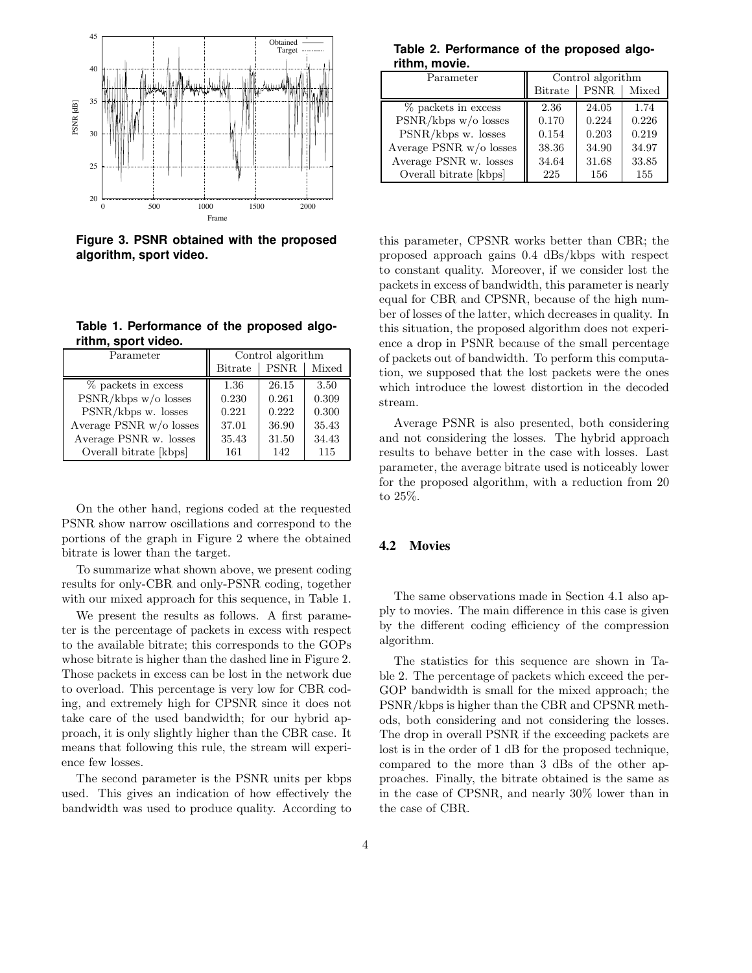

**Figure 3. PSNR obtained with the proposed algorithm, sport video.**

| Table 1. Performance of the proposed algo- |  |  |
|--------------------------------------------|--|--|
| rithm, sport video.                        |  |  |

| Parameter               | Control algorithm |             |       |
|-------------------------|-------------------|-------------|-------|
|                         | <b>Bitrate</b>    | <b>PSNR</b> | Mixed |
| $%$ packets in excess   | 1.36              | 26.15       | 3.50  |
| PSNR/kbps w/o losses    | 0.230             | 0.261       | 0.309 |
| PSNR/kbps w. losses     | 0.221             | 0.222       | 0.300 |
| Average PSNR w/o losses | 37.01             | 36.90       | 35.43 |
| Average PSNR w. losses  | 35.43             | 31.50       | 34.43 |
| Overall bitrate [kbps]  | 161               | 142         | 115   |

On the other hand, regions coded at the requested PSNR show narrow oscillations and correspond to the portions of the graph in Figure 2 where the obtained bitrate is lower than the target.

To summarize what shown above, we present coding results for only-CBR and only-PSNR coding, together with our mixed approach for this sequence, in Table 1.

We present the results as follows. A first parameter is the percentage of packets in excess with respect to the available bitrate; this corresponds to the GOPs whose bitrate is higher than the dashed line in Figure 2. Those packets in excess can be lost in the network due to overload. This percentage is very low for CBR coding, and extremely high for CPSNR since it does not take care of the used bandwidth; for our hybrid approach, it is only slightly higher than the CBR case. It means that following this rule, the stream will experience few losses.

The second parameter is the PSNR units per kbps used. This gives an indication of how effectively the bandwidth was used to produce quality. According to

**Table 2. Performance of the proposed algorithm, movie.**

| Parameter                 | Control algorithm |             |       |
|---------------------------|-------------------|-------------|-------|
|                           | <b>Bitrate</b>    | <b>PSNR</b> | Mixed |
| % packets in excess       | 2.36              | 24.05       | 1.74  |
| PSNR/kbps w/o losses      | 0.170             | 0.224       | 0.226 |
| PSNR/kbps w. losses       | 0.154             | 0.203       | 0.219 |
| Average PSNR $w/o$ losses | 38.36             | 34.90       | 34.97 |
| Average PSNR w. losses    | 34.64             | 31.68       | 33.85 |
| Overall bitrate [kbps]    | 225               | 156         | 155   |

this parameter, CPSNR works better than CBR; the proposed approach gains 0.4 dBs/kbps with respect to constant quality. Moreover, if we consider lost the packets in excess of bandwidth, this parameter is nearly equal for CBR and CPSNR, because of the high number of losses of the latter, which decreases in quality. In this situation, the proposed algorithm does not experience a drop in PSNR because of the small percentage of packets out of bandwidth. To perform this computation, we supposed that the lost packets were the ones which introduce the lowest distortion in the decoded stream.

Average PSNR is also presented, both considering and not considering the losses. The hybrid approach results to behave better in the case with losses. Last parameter, the average bitrate used is noticeably lower for the proposed algorithm, with a reduction from 20 to 25%.

#### **4.2 Movies**

The same observations made in Section 4.1 also apply to movies. The main difference in this case is given by the different coding efficiency of the compression algorithm.

The statistics for this sequence are shown in Table 2. The percentage of packets which exceed the per-GOP bandwidth is small for the mixed approach; the PSNR/kbps is higher than the CBR and CPSNR methods, both considering and not considering the losses. The drop in overall PSNR if the exceeding packets are lost is in the order of 1 dB for the proposed technique, compared to the more than 3 dBs of the other approaches. Finally, the bitrate obtained is the same as in the case of CPSNR, and nearly 30% lower than in the case of CBR.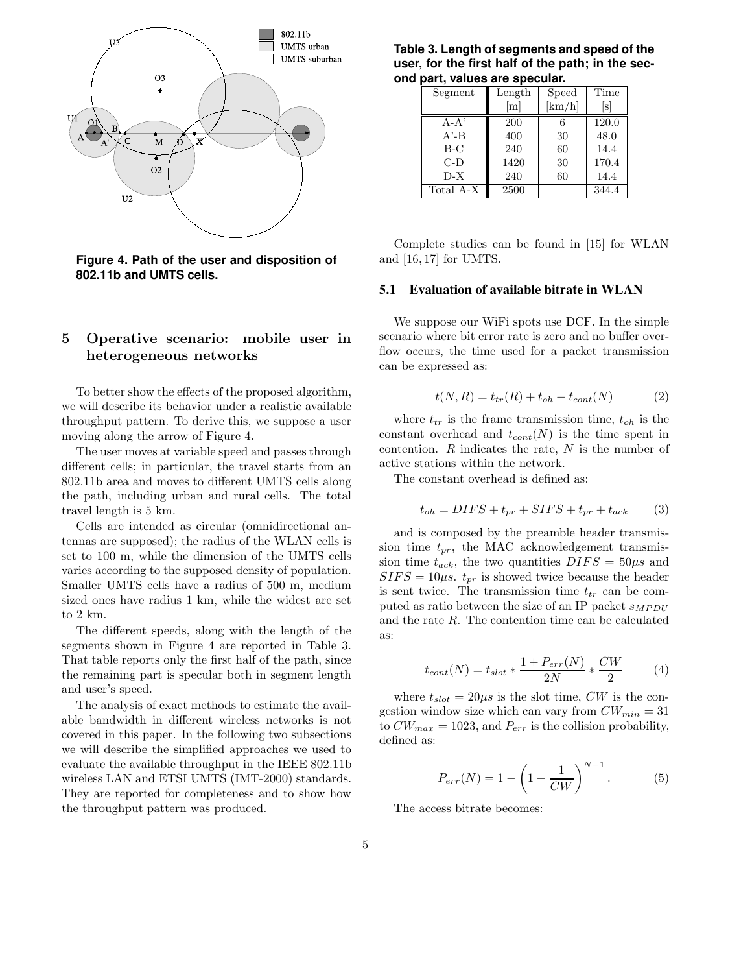

**Figure 4. Path of the user and disposition of 802.11b and UMTS cells.**

# 5 Operative scenario: mobile user in heterogeneous networks

To better show the effects of the proposed algorithm, we will describe its behavior under a realistic available throughput pattern. To derive this, we suppose a user moving along the arrow of Figure 4.

The user moves at variable speed and passes through different cells; in particular, the travel starts from an 802.11b area and moves to different UMTS cells along the path, including urban and rural cells. The total travel length is 5 km.

Cells are intended as circular (omnidirectional antennas are supposed); the radius of the WLAN cells is set to 100 m, while the dimension of the UMTS cells varies according to the supposed density of population. Smaller UMTS cells have a radius of 500 m, medium sized ones have radius 1 km, while the widest are set to 2 km.

The different speeds, along with the length of the segments shown in Figure 4 are reported in Table 3. That table reports only the first half of the path, since the remaining part is specular both in segment length and user's speed.

The analysis of exact methods to estimate the available bandwidth in different wireless networks is not covered in this paper. In the following two subsections we will describe the simplified approaches we used to evaluate the available throughput in the IEEE 802.11b wireless LAN and ETSI UMTS (IMT-2000) standards. They are reported for completeness and to show how the throughput pattern was produced.

**Table 3. Length of segments and speed of the user, for the first half of the path; in the second part, values are specular.**

| Segment   | Length | Speed  | Time  |
|-----------|--------|--------|-------|
|           | m      | [km/h] | lsl   |
| $A - A'$  | 200    | 6      | 120.0 |
| $A' - B$  | 400    | 30     | 48.0  |
| $B-C$     | 240    | 60     | 14.4  |
| C-D       | 1420   | 30     | 170.4 |
| $D-X$     | 240    | 60     | 14.4  |
| Total A-X | 2500   |        | 344.4 |

Complete studies can be found in [15] for WLAN and [16, 17] for UMTS.

#### **5.1 Evaluation of available bitrate in WLAN**

We suppose our WiFi spots use DCF. In the simple scenario where bit error rate is zero and no buffer overflow occurs, the time used for a packet transmission can be expressed as:

$$
t(N,R) = t_{tr}(R) + t_{oh} + t_{cont}(N)
$$
 (2)

where  $t_{tr}$  is the frame transmission time,  $t_{oh}$  is the constant overhead and  $t_{cont}(N)$  is the time spent in contention.  $R$  indicates the rate,  $N$  is the number of active stations within the network.

The constant overhead is defined as:

$$
t_{oh} = DIFS + t_{pr} + SIFS + t_{pr} + t_{ack} \tag{3}
$$

and is composed by the preamble header transmission time  $t_{pr}$ , the MAC acknowledgement transmission time  $t_{ack}$ , the two quantities  $DIFS = 50\mu s$  and  $SIFS = 10\mu s.$   $t_{pr}$  is showed twice because the header is sent twice. The transmission time  $t_{tr}$  can be computed as ratio between the size of an IP packet  $s_{MPDU}$ and the rate R. The contention time can be calculated as:

$$
t_{cont}(N) = t_{slot} * \frac{1+P_{err}(N)}{2N} * \frac{CW}{2}
$$
 (4)

where  $t_{slot} = 20\mu s$  is the slot time, CW is the congestion window size which can vary from  $CW_{min} = 31$ to  $CW_{max} = 1023$ , and  $P_{err}$  is the collision probability, defined as:

$$
P_{err}(N) = 1 - \left(1 - \frac{1}{CW}\right)^{N-1}.
$$
 (5)

The access bitrate becomes: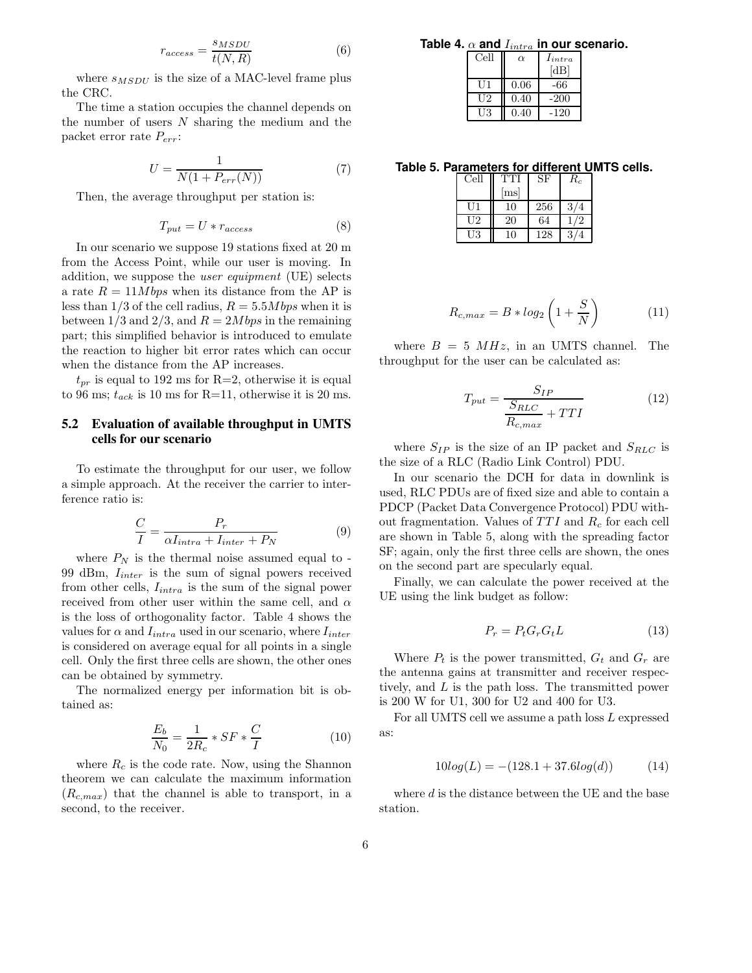$$
r_{access} = \frac{s_{MSDU}}{t(N,R)}\tag{6}
$$

where  $s_{MSDU}$  is the size of a MAC-level frame plus the CRC.

The time a station occupies the channel depends on the number of users  $N$  sharing the medium and the packet error rate  $P_{err}$ :

$$
U = \frac{1}{N(1 + P_{err}(N))}
$$
\n<sup>(7)</sup>

Then, the average throughput per station is:

$$
T_{put} = U * r_{access} \tag{8}
$$

In our scenario we suppose 19 stations fixed at 20 m from the Access Point, while our user is moving. In addition, we suppose the user equipment (UE) selects a rate  $R = 11Mbps$  when its distance from the AP is less than  $1/3$  of the cell radius,  $R = 5.5Mbps$  when it is between  $1/3$  and  $2/3$ , and  $R = 2Mbps$  in the remaining part; this simplified behavior is introduced to emulate the reaction to higher bit error rates which can occur when the distance from the AP increases.

 $t_{pr}$  is equal to 192 ms for R=2, otherwise it is equal to 96 ms;  $t_{ack}$  is 10 ms for R=11, otherwise it is 20 ms.

#### **5.2 Evaluation of available throughput in UMTS cells for our scenario**

To estimate the throughput for our user, we follow a simple approach. At the receiver the carrier to interference ratio is:

$$
\frac{C}{I} = \frac{P_r}{\alpha I_{intra} + I_{inter} + P_N}
$$
(9)

where  $P_N$  is the thermal noise assumed equal to -99 dBm,  $I_{inter}$  is the sum of signal powers received from other cells,  $I_{intra}$  is the sum of the signal power received from other user within the same cell, and  $\alpha$ is the loss of orthogonality factor. Table 4 shows the values for  $\alpha$  and  $I_{intra}$  used in our scenario, where  $I_{inter}$ is considered on average equal for all points in a single cell. Only the first three cells are shown, the other ones can be obtained by symmetry.

The normalized energy per information bit is obtained as:

$$
\frac{E_b}{N_0} = \frac{1}{2R_c} * SF * \frac{C}{I}
$$
 (10)

where  $R_c$  is the code rate. Now, using the Shannon theorem we can calculate the maximum information  $(R_{c,max})$  that the channel is able to transport, in a second, to the receiver.

**Table 4.**  $\alpha$  and  $I_{intra}$  in our scenario.

| Cell | $\alpha$ | $I_{intra}$ |  |  |
|------|----------|-------------|--|--|
|      |          | [dB]        |  |  |
| UI1  | 0.06     | -66         |  |  |
| U2   | 0.40     | $-200$      |  |  |
| UЗ   | 0.40     | -120        |  |  |

**Table 5. Parameters for different UMTS cells.**

| Cell | TTI  | SF  | $R_c$                |
|------|------|-----|----------------------|
|      | [ms] |     |                      |
| UJ1  |      | 256 | 3/<br>$\overline{A}$ |
| U2   | 20   | 64  | $\overline{2}$       |
| UЗ   |      | 128 |                      |

$$
R_{c,max} = B * log_2 \left( 1 + \frac{S}{N} \right) \tag{11}
$$

where  $B = 5 MHz$ , in an UMTS channel. The throughput for the user can be calculated as:

$$
T_{put} = \frac{S_{IP}}{\frac{S_{RLC}}{R_{c,max} + TTI}} \tag{12}
$$

where  $S_{IP}$  is the size of an IP packet and  $S_{RLC}$  is the size of a RLC (Radio Link Control) PDU.

In our scenario the DCH for data in downlink is used, RLC PDUs are of fixed size and able to contain a PDCP (Packet Data Convergence Protocol) PDU without fragmentation. Values of  $TTI$  and  $R_c$  for each cell are shown in Table 5, along with the spreading factor SF; again, only the first three cells are shown, the ones on the second part are specularly equal.

Finally, we can calculate the power received at the UE using the link budget as follow:

$$
P_r = P_t G_r G_t L \tag{13}
$$

Where  $P_t$  is the power transmitted,  $G_t$  and  $G_r$  are the antenna gains at transmitter and receiver respectively, and L is the path loss. The transmitted power is 200 W for U1, 300 for U2 and 400 for U3.

For all UMTS cell we assume a path loss L expressed as:

$$
10\log(L) = -(128.1 + 37.6\log(d))\tag{14}
$$

where  $d$  is the distance between the UE and the base station.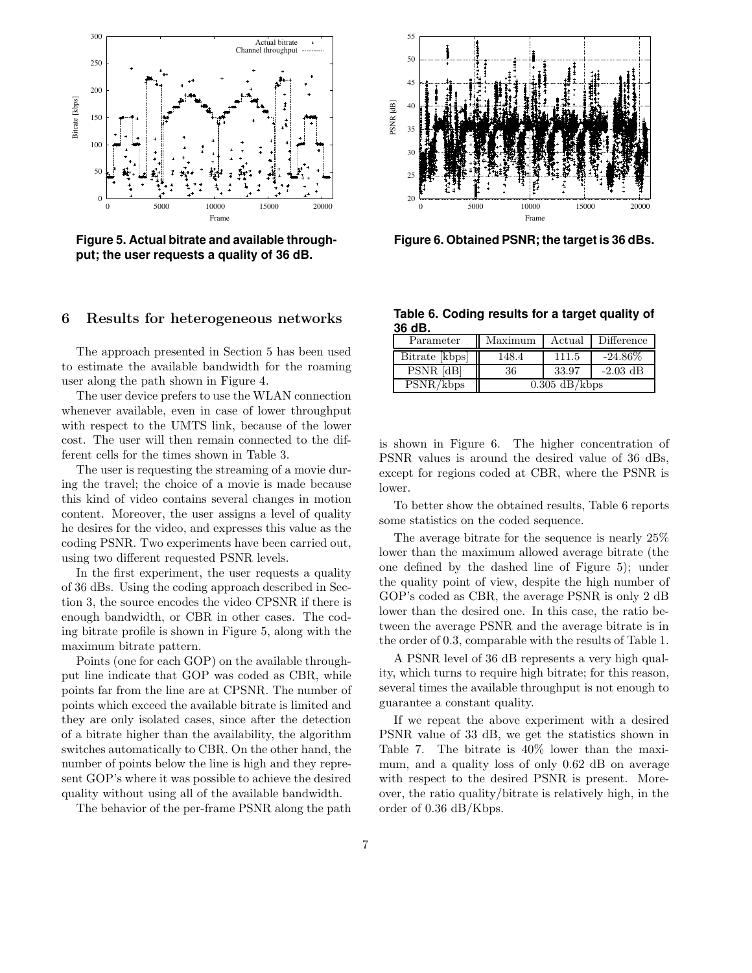

**Figure 5. Actual bitrate and available throughput; the user requests a quality of 36 dB.**

# 6 Results for heterogeneous networks

The approach presented in Section 5 has been used to estimate the available bandwidth for the roaming user along the path shown in Figure 4.

The user device prefers to use the WLAN connection whenever available, even in case of lower throughput with respect to the UMTS link, because of the lower cost. The user will then remain connected to the different cells for the times shown in Table 3.

The user is requesting the streaming of a movie during the travel; the choice of a movie is made because this kind of video contains several changes in motion content. Moreover, the user assigns a level of quality he desires for the video, and expresses this value as the coding PSNR. Two experiments have been carried out, using two different requested PSNR levels.

In the first experiment, the user requests a quality of 36 dBs. Using the coding approach described in Section 3, the source encodes the video CPSNR if there is enough bandwidth, or CBR in other cases. The coding bitrate profile is shown in Figure 5, along with the maximum bitrate pattern.

Points (one for each GOP) on the available throughput line indicate that GOP was coded as CBR, while points far from the line are at CPSNR. The number of points which exceed the available bitrate is limited and they are only isolated cases, since after the detection of a bitrate higher than the availability, the algorithm switches automatically to CBR. On the other hand, the number of points below the line is high and they represent GOP's where it was possible to achieve the desired quality without using all of the available bandwidth.

The behavior of the per-frame PSNR along the path



**Figure 6. Obtained PSNR; the target is 36 dBs.**

**Table 6. Coding results for a target quality of 36 dB.**

| Parameter      | Maximum         | Actual | Difference |
|----------------|-----------------|--------|------------|
| Bitrate [kbps] | 148.4           | 111.5  | $-24.86\%$ |
| PSNR [dB]      | 36              | 33.97  | $-2.03$ dB |
| PSNR/kbps      | $0.305$ dB/kbps |        |            |

is shown in Figure 6. The higher concentration of PSNR values is around the desired value of 36 dBs, except for regions coded at CBR, where the PSNR is lower.

To better show the obtained results, Table 6 reports some statistics on the coded sequence.

The average bitrate for the sequence is nearly 25% lower than the maximum allowed average bitrate (the one defined by the dashed line of Figure 5); under the quality point of view, despite the high number of GOP's coded as CBR, the average PSNR is only 2 dB lower than the desired one. In this case, the ratio between the average PSNR and the average bitrate is in the order of 0.3, comparable with the results of Table 1.

A PSNR level of 36 dB represents a very high quality, which turns to require high bitrate; for this reason, several times the available throughput is not enough to guarantee a constant quality.

If we repeat the above experiment with a desired PSNR value of 33 dB, we get the statistics shown in Table 7. The bitrate is 40% lower than the maximum, and a quality loss of only 0.62 dB on average with respect to the desired PSNR is present. Moreover, the ratio quality/bitrate is relatively high, in the order of 0.36 dB/Kbps.